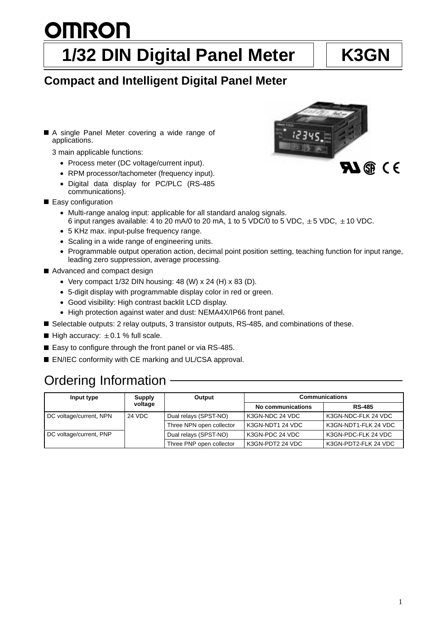# **OMRON 1/32 DIN Digital Panel Meter | K3GN**

# **Compact and Intelligent Digital Panel Meter**

■ A single Panel Meter covering a wide range of applications.

3 main applicable functions:

- Process meter (DC voltage/current input).
- RPM processor/tachometer (frequency input).
- Digital data display for PC/PLC (RS-485 communications).
- Easy configuration
	- Multi-range analog input: applicable for all standard analog signals. 6 input ranges available: 4 to 20 mA/0 to 20 mA, 1 to 5 VDC/0 to 5 VDC,  $\pm$  5 VDC,  $\pm$  10 VDC.
	- 5 KHz max. input-pulse frequency range.
	- Scaling in a wide range of engineering units.
	- Programmable output operation action, decimal point position setting, teaching function for input range, leading zero suppression, average processing.
- Advanced and compact design
	- Very compact  $1/32$  DIN housing: 48 (W) x 24 (H) x 83 (D).
	- 5-digit display with programmable display color in red or green.
	- Good visibility: High contrast backlit LCD display.
	- High protection against water and dust: NEMA4X/IP66 front panel.
- Selectable outputs: 2 relay outputs, 3 transistor outputs, RS-485, and combinations of these.
- High accuracy:  $\pm 0.1$  % full scale.
- Easy to configure through the front panel or via RS-485.
- EN/IEC conformity with CE marking and UL/CSA approval.

# Ordering Information

| Input type              | <b>Supply</b> | Output                   | <b>Communications</b> |                      |
|-------------------------|---------------|--------------------------|-----------------------|----------------------|
|                         | voltage       |                          | No communications     | <b>RS-485</b>        |
| DC voltage/current, NPN | 24 VDC        | Dual relays (SPST-NO)    | K3GN-NDC 24 VDC       | K3GN-NDC-FLK 24 VDC  |
|                         |               | Three NPN open collector | K3GN-NDT1 24 VDC      | K3GN-NDT1-FLK 24 VDC |
| DC voltage/current, PNP |               | Dual relays (SPST-NO)    | K3GN-PDC 24 VDC       | K3GN-PDC-FLK 24 VDC  |
|                         |               | Three PNP open collector | K3GN-PDT2 24 VDC      | K3GN-PDT2-FLK 24 VDC |

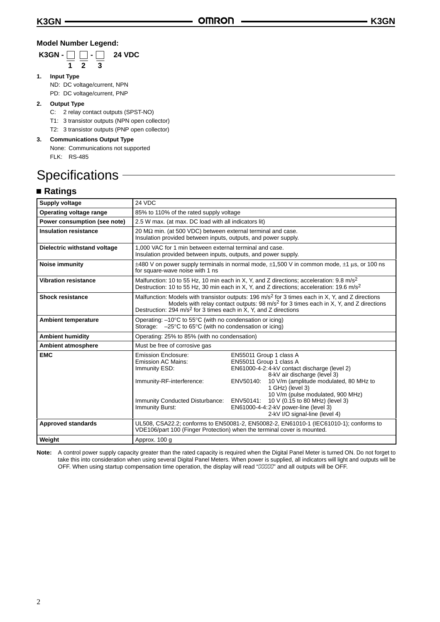## **Model Number Legend:**

|  |  | K3GN - $\Box$ - $\Box$ 24 VDC |
|--|--|-------------------------------|
|  |  |                               |

**12 3**

- **1. Input Type** ND: DC voltage/current, NPN
	- PD: DC voltage/current, PNP

## **2. Output Type**

- C: 2 relay contact outputs (SPST-NO)
- T1: 3 transistor outputs (NPN open collector)
- T2: 3 transistor outputs (PNP open collector)
- **3. Communications Output Type** None: Communications not supported FLK: RS-485

# **Specifications**

# **Ratings**

| <b>Supply voltage</b>        | 24 VDC                                                                                                                                                                                                                                                                                  |                                                                                                                                                                                                                                                                                                                                                                               |  |
|------------------------------|-----------------------------------------------------------------------------------------------------------------------------------------------------------------------------------------------------------------------------------------------------------------------------------------|-------------------------------------------------------------------------------------------------------------------------------------------------------------------------------------------------------------------------------------------------------------------------------------------------------------------------------------------------------------------------------|--|
| Operating voltage range      | 85% to 110% of the rated supply voltage                                                                                                                                                                                                                                                 |                                                                                                                                                                                                                                                                                                                                                                               |  |
| Power consumption (see note) | 2.5 W max. (at max. DC load with all indicators lit)                                                                                                                                                                                                                                    |                                                                                                                                                                                                                                                                                                                                                                               |  |
| <b>Insulation resistance</b> | 20 $M\Omega$ min. (at 500 VDC) between external terminal and case.<br>Insulation provided between inputs, outputs, and power supply.                                                                                                                                                    |                                                                                                                                                                                                                                                                                                                                                                               |  |
| Dielectric withstand voltage | 1,000 VAC for 1 min between external terminal and case.<br>Insulation provided between inputs, outputs, and power supply.                                                                                                                                                               |                                                                                                                                                                                                                                                                                                                                                                               |  |
| Noise immunity               | for square-wave noise with 1 ns                                                                                                                                                                                                                                                         | $\pm$ 480 V on power supply terminals in normal mode, $\pm$ 1,500 V in common mode, $\pm$ 1 µs, or 100 ns                                                                                                                                                                                                                                                                     |  |
| <b>Vibration resistance</b>  | Malfunction: 10 to 55 Hz, 10 min each in X, Y, and Z directions; acceleration: 9.8 m/s <sup>2</sup><br>Destruction: 10 to 55 Hz, 30 min each in X, Y, and Z directions; acceleration: 19.6 m/s <sup>2</sup>                                                                             |                                                                                                                                                                                                                                                                                                                                                                               |  |
| <b>Shock resistance</b>      | Malfunction: Models with transistor outputs: 196 $m/s2$ for 3 times each in X, Y, and Z directions<br>Models with relay contact outputs: 98 m/s <sup>2</sup> for 3 times each in X, Y, and Z directions<br>Destruction: 294 m/s <sup>2</sup> for 3 times each in X, Y, and Z directions |                                                                                                                                                                                                                                                                                                                                                                               |  |
| <b>Ambient temperature</b>   | Operating: $-10^{\circ}$ C to 55 $^{\circ}$ C (with no condensation or icing)<br>Storage: $-25^{\circ}$ C to 65 $^{\circ}$ C (with no condensation or icing)                                                                                                                            |                                                                                                                                                                                                                                                                                                                                                                               |  |
| <b>Ambient humidity</b>      | Operating: 25% to 85% (with no condensation)                                                                                                                                                                                                                                            |                                                                                                                                                                                                                                                                                                                                                                               |  |
| <b>Ambient atmosphere</b>    | Must be free of corrosive gas                                                                                                                                                                                                                                                           |                                                                                                                                                                                                                                                                                                                                                                               |  |
| <b>EMC</b>                   | Emission Enclosure:<br><b>Emission AC Mains:</b><br>Immunity ESD:<br>Immunity-RF-interference:<br>Immunity Conducted Disturbance:<br>Immunity Burst:                                                                                                                                    | EN55011 Group 1 class A<br>EN55011 Group 1 class A<br>EN61000-4-2:4-kV contact discharge (level 2)<br>8-kV air discharge (level 3)<br>10 V/m (amplitude modulated, 80 MHz to<br>ENV50140:<br>1 GHz) (level 3)<br>10 V/m (pulse modulated, 900 MHz)<br>10 V (0.15 to 80 MHz) (level 3)<br>ENV50141:<br>EN61000-4-4:2-kV power-line (level 3)<br>2-kV I/O signal-line (level 4) |  |
| <b>Approved standards</b>    | UL508, CSA22.2; conforms to EN50081-2, EN50082-2, EN61010-1 (IEC61010-1); conforms to<br>VDE106/part 100 (Finger Protection) when the terminal cover is mounted.                                                                                                                        |                                                                                                                                                                                                                                                                                                                                                                               |  |
| Weight                       | Approx. 100 g                                                                                                                                                                                                                                                                           |                                                                                                                                                                                                                                                                                                                                                                               |  |

**Note:** A control power supply capacity greater than the rated capacity is required when the Digital Panel Meter is turned ON. Do not forget to take this into consideration when using several Digital Panel Meters. When power is supplied, all indicators will light and outputs will be OFF. When using startup compensation time operation, the display will read "00000" and all outputs will be OFF.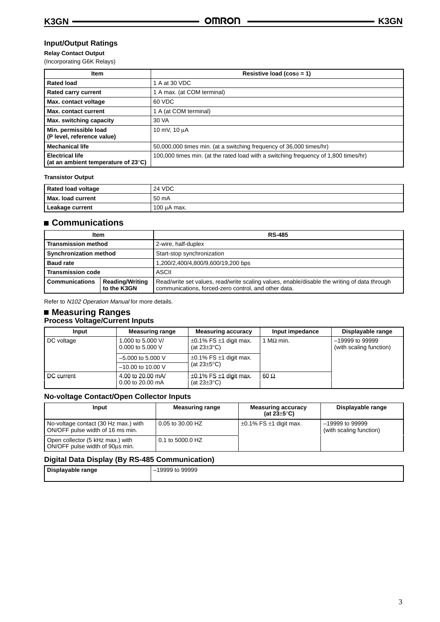# **Input/Output Ratings**

### **Relay Contact Output**

(Incorporating G6K Relays)

| <b>Item</b>                                                             | Resistive load ( $cos\phi = 1$ )                                                    |
|-------------------------------------------------------------------------|-------------------------------------------------------------------------------------|
| <b>Rated load</b>                                                       | 1 A at 30 VDC                                                                       |
| <b>Rated carry current</b>                                              | 1 A max. (at COM terminal)                                                          |
| Max. contact voltage                                                    | 60 VDC                                                                              |
| Max. contact current                                                    | 1 A (at COM terminal)                                                               |
| Max. switching capacity                                                 | 30 VA                                                                               |
| Min. permissible load<br>(P level, reference value)                     | 10 mV, 10 µA                                                                        |
| <b>Mechanical life</b>                                                  | 50,000,000 times min. (at a switching frequency of 36,000 times/hr)                 |
| <b>Electrical life</b><br>(at an ambient temperature of $23^{\circ}$ C) | 100,000 times min. (at the rated load with a switching frequency of 1,800 times/hr) |

#### **Transistor Output**

| <b>Rated load voltage</b> | 24 VDC           |
|---------------------------|------------------|
| Max. load current         | $50 \text{ mA}$  |
| Leakage current           | $100 \mu A$ max. |

# **Communications**

| Item                                                           |  | <b>RS-485</b>                                                                                                                                        |  |
|----------------------------------------------------------------|--|------------------------------------------------------------------------------------------------------------------------------------------------------|--|
| <b>Transmission method</b>                                     |  | 2-wire, half-duplex                                                                                                                                  |  |
| <b>Synchronization method</b>                                  |  | Start-stop synchronization                                                                                                                           |  |
| <b>Baud rate</b>                                               |  | 1,200/2,400/4,800/9,600/19,200 bps                                                                                                                   |  |
| <b>Transmission code</b>                                       |  | ASCII                                                                                                                                                |  |
| <b>Communications</b><br><b>Reading/Writing</b><br>to the K3GN |  | Read/write set values, read/write scaling values, enable/disable the writing of data through<br>communications, forced-zero control, and other data. |  |

Refer to N102 Operation Manual for more details.

## **Measuring Ranges Process Voltage/Current Inputs**

| Input      | <b>Measuring range</b>                  | <b>Measuring accuracy</b>                             | Input impedance | Displayable range                            |
|------------|-----------------------------------------|-------------------------------------------------------|-----------------|----------------------------------------------|
| DC voltage | 1,000 to 5,000 V/<br>0.000 to 5.000 $V$ | $\pm 0.1\%$ FS $\pm 1$ digit max.<br>(at $23\pm3$ °C) | $M\Omega$ min.  | $-19999$ to 99999<br>(with scaling function) |
|            | $-5.000$ to 5.000 V                     | $\pm 0.1\%$ FS $\pm 1$ digit max.                     |                 |                                              |
|            | $-10.00$ to 10.00 V                     | (at $23\pm5^{\circ}$ C)                               |                 |                                              |
| DC current | 4.00 to 20.00 mA/<br>0.00 to 20.00 mA   | $\pm 0.1\%$ FS $\pm 1$ digit max.<br>(at $23\pm3$ °C) | 60 $\Omega$     |                                              |

# **No-voltage Contact/Open Collector Inputs**

| Input                                                                    | <b>Measuring range</b> | <b>Measuring accuracy</b><br>(at $23\pm5^{\circ}$ C) | Displayable range                            |
|--------------------------------------------------------------------------|------------------------|------------------------------------------------------|----------------------------------------------|
| No-voltage contact (30 Hz max.) with<br>ON/OFF pulse width of 16 ms min. | 0.05 to 30.00 HZ       | $\pm 0.1\%$ FS $\pm 1$ digit max.                    | $-19999$ to 99999<br>(with scaling function) |
| Open collector (5 kHz max.) with<br>ON/OFF pulse width of 90us min.      | 0.1 to 5000.0 HZ       |                                                      |                                              |

# **Digital Data Display (By RS-485 Communication)**

| - - -             |                             |
|-------------------|-----------------------------|
| Displayable range | 99999<br>19999<br>πо<br>$-$ |
|                   |                             |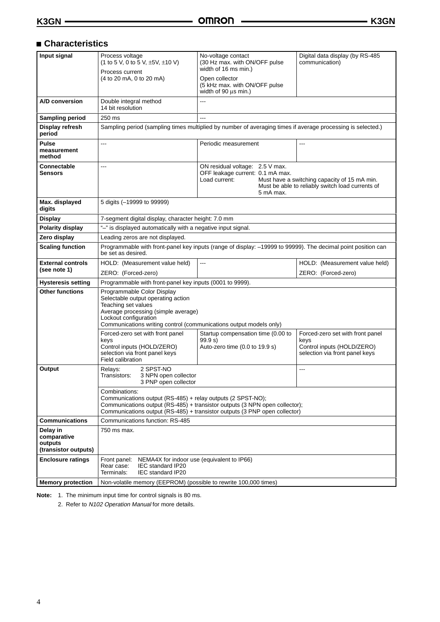# **Characteristics**

| Input signal                                               | Process voltage<br>(1 to 5 V, 0 to 5 V, $\pm$ 5V, $\pm$ 10 V)                                                                                                                                                                 | No-voltage contact<br>(30 Hz max. with ON/OFF pulse<br>width of 16 ms min.)                                                                               | Digital data display (by RS-485<br>communication)                                                |
|------------------------------------------------------------|-------------------------------------------------------------------------------------------------------------------------------------------------------------------------------------------------------------------------------|-----------------------------------------------------------------------------------------------------------------------------------------------------------|--------------------------------------------------------------------------------------------------|
|                                                            | Process current<br>(4 to 20 mA, 0 to 20 mA)                                                                                                                                                                                   | Open collector<br>(5 kHz max. with ON/OFF pulse                                                                                                           |                                                                                                  |
|                                                            |                                                                                                                                                                                                                               | width of 90 us min.)                                                                                                                                      |                                                                                                  |
| A/D conversion                                             | Double integral method<br>14 bit resolution                                                                                                                                                                                   | $---$                                                                                                                                                     |                                                                                                  |
| <b>Sampling period</b>                                     | 250 ms                                                                                                                                                                                                                        | ---                                                                                                                                                       |                                                                                                  |
| Display refresh<br>period                                  |                                                                                                                                                                                                                               | Sampling period (sampling times multiplied by number of averaging times if average processing is selected.)                                               |                                                                                                  |
| <b>Pulse</b><br>measurement<br>method                      | ---                                                                                                                                                                                                                           | Periodic measurement                                                                                                                                      |                                                                                                  |
| Connectable<br>Sensors                                     | ---                                                                                                                                                                                                                           | ON residual voltage: 2.5 V max.<br>OFF leakage current: 0.1 mA max.<br>Load current:<br>5 mA max.                                                         | Must have a switching capacity of 15 mA min.<br>Must be able to reliably switch load currents of |
| Max. displayed<br>digits                                   | 5 digits (-19999 to 99999)                                                                                                                                                                                                    |                                                                                                                                                           |                                                                                                  |
| <b>Display</b>                                             | 7-segment digital display, character height: 7.0 mm                                                                                                                                                                           |                                                                                                                                                           |                                                                                                  |
| <b>Polarity display</b>                                    | "-" is displayed automatically with a negative input signal.                                                                                                                                                                  |                                                                                                                                                           |                                                                                                  |
| Zero display                                               | Leading zeros are not displayed.                                                                                                                                                                                              |                                                                                                                                                           |                                                                                                  |
| <b>Scaling function</b>                                    | Programmable with front-panel key inputs (range of display: -19999 to 99999). The decimal point position can<br>be set as desired.                                                                                            |                                                                                                                                                           |                                                                                                  |
| <b>External controls</b>                                   | HOLD: (Measurement value held)                                                                                                                                                                                                | ---                                                                                                                                                       | HOLD: (Measurement value held)                                                                   |
| (see note 1)                                               | ZERO: (Forced-zero)                                                                                                                                                                                                           |                                                                                                                                                           | ZERO: (Forced-zero)                                                                              |
| <b>Hysteresis setting</b>                                  | Programmable with front-panel key inputs (0001 to 9999).                                                                                                                                                                      |                                                                                                                                                           |                                                                                                  |
| <b>Other functions</b>                                     | Programmable Color Display<br>Selectable output operating action<br>Teaching set values<br>Average processing (simple average)<br>Lockout configuration<br>Communications writing control (communications output models only) |                                                                                                                                                           |                                                                                                  |
|                                                            | Forced-zero set with front panel                                                                                                                                                                                              | Startup compensation time (0.00 to                                                                                                                        | Forced-zero set with front panel                                                                 |
|                                                            | keys<br>Control inputs (HOLD/ZERO)<br>selection via front panel keys<br>Field calibration                                                                                                                                     | 99.9 s)<br>Auto-zero time (0.0 to 19.9 s)                                                                                                                 | keys<br>Control inputs (HOLD/ZERO)<br>selection via front panel keys                             |
| Output                                                     | 2 SPST-NO<br>Relays:<br>3 NPN open collector<br>Transistors:<br>3 PNP open collector                                                                                                                                          |                                                                                                                                                           | $---$                                                                                            |
|                                                            | Combinations:<br>Communications output (RS-485) + relay outputs (2 SPST-NO);                                                                                                                                                  | Communications output (RS-485) + transistor outputs (3 NPN open collector);<br>Communications output (RS-485) + transistor outputs (3 PNP open collector) |                                                                                                  |
| <b>Communications</b>                                      | Communications function: RS-485                                                                                                                                                                                               |                                                                                                                                                           |                                                                                                  |
| Delay in<br>comparative<br>outputs<br>(transistor outputs) | 750 ms max.                                                                                                                                                                                                                   |                                                                                                                                                           |                                                                                                  |
| <b>Enclosure ratings</b>                                   | Front panel:<br>NEMA4X for indoor use (equivalent to IP66)<br>Rear case:<br>IEC standard IP20<br>Terminals:<br><b>IEC standard IP20</b>                                                                                       |                                                                                                                                                           |                                                                                                  |
| <b>Memory protection</b>                                   | Non-volatile memory (EEPROM) (possible to rewrite 100,000 times)                                                                                                                                                              |                                                                                                                                                           |                                                                                                  |

**Note:** 1. The minimum input time for control signals is 80 ms.

2. Refer to N102 Operation Manual for more details.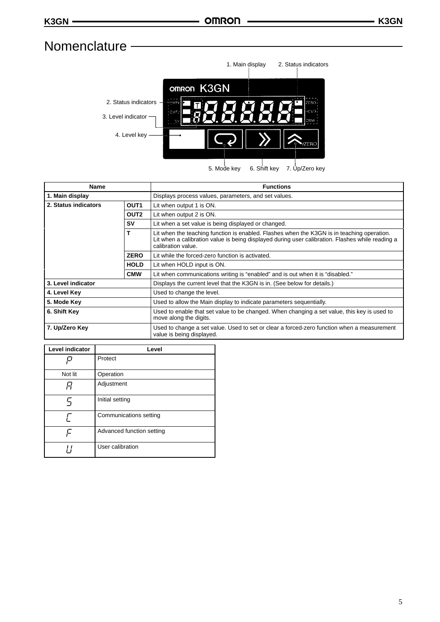# **Nomenclature**



| Name                                     |                  | <b>Functions</b>                                                                                                                                                                                                     |  |
|------------------------------------------|------------------|----------------------------------------------------------------------------------------------------------------------------------------------------------------------------------------------------------------------|--|
| 1. Main display                          |                  | Displays process values, parameters, and set values.                                                                                                                                                                 |  |
| 2. Status indicators<br>OUT <sub>1</sub> |                  | Lit when output 1 is ON.                                                                                                                                                                                             |  |
|                                          | OUT <sub>2</sub> | Lit when output 2 is ON.                                                                                                                                                                                             |  |
|                                          | S٧               | Lit when a set value is being displayed or changed.                                                                                                                                                                  |  |
|                                          |                  | Lit when the teaching function is enabled. Flashes when the K3GN is in teaching operation.<br>Lit when a calibration value is being displayed during user calibration. Flashes while reading a<br>calibration value. |  |
| <b>ZERO</b>                              |                  | Lit while the forced-zero function is activated.                                                                                                                                                                     |  |
| <b>HOLD</b>                              |                  | Lit when HOLD input is ON.                                                                                                                                                                                           |  |
|                                          | <b>CMW</b>       | Lit when communications writing is "enabled" and is out when it is "disabled."                                                                                                                                       |  |
| 3. Level indicator                       |                  | Displays the current level that the K3GN is in. (See below for details.)                                                                                                                                             |  |
| 4. Level Key                             |                  | Used to change the level.                                                                                                                                                                                            |  |
| 5. Mode Key                              |                  | Used to allow the Main display to indicate parameters sequentially.                                                                                                                                                  |  |
| 6. Shift Key                             |                  | Used to enable that set value to be changed. When changing a set value, this key is used to<br>move along the digits.                                                                                                |  |
| 7. Up/Zero Key                           |                  | Used to change a set value. Used to set or clear a forced-zero function when a measurement<br>value is being displayed.                                                                                              |  |

| Level indicator | Level                     |
|-----------------|---------------------------|
|                 | Protect                   |
| Not lit         | Operation                 |
|                 | Adjustment                |
| 5               | Initial setting           |
|                 | Communications setting    |
| c               | Advanced function setting |
|                 | User calibration          |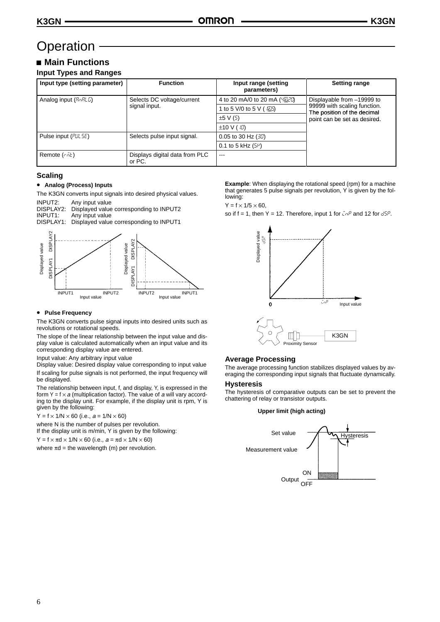# **Operation**

# **Main Functions Input Types and Ranges**

| Input type (setting parameter) | <b>Function</b>                             | Input range (setting<br>parameters)      | <b>Setting range</b>                                                                                                      |
|--------------------------------|---------------------------------------------|------------------------------------------|---------------------------------------------------------------------------------------------------------------------------|
| Analog input $(RnRLL)$         | Selects DC voltage/current<br>signal input. | 4 to 20 mA/0 to 20 mA (4220)             | Displayable from -19999 to<br>99999 with scaling function.<br>The position of the decimal<br>point can be set as desired. |
|                                |                                             | 1 to 5 V/0 to 5 V ( / 25)                |                                                                                                                           |
|                                |                                             | $\pm 5$ V (5)                            |                                                                                                                           |
|                                |                                             | $\pm 10 \text{ V}$ ( $\text{i} \Omega$ ) |                                                                                                                           |
| Pulse input (PUL 5E)           | Selects pulse input signal.                 | 0.05 to 30 Hz $(30)$                     |                                                                                                                           |
|                                |                                             | 0.1 to 5 kHz $(5\mu)$                    |                                                                                                                           |
| Remote $(r \bar{h}t)$          | Displays digital data from PLC<br>or PC.    | $--$                                     |                                                                                                                           |

# **Scaling**

#### • **Analog (Process) Inputs**

The K3GN converts input signals into desired physical values.

INPUT2: Any input value<br>DISPLAY2: Displayed value DISPLAY2: Displayed value corresponding to INPUT2<br>INPUT1: Any input value INPUT1: Any input value<br>DISPLAY1: Displayed value Displayed value corresponding to INPUT1



#### • **Pulse Frequency**

The K3GN converts pulse signal inputs into desired units such as revolutions or rotational speeds.

The slope of the linear relationship between the input value and display value is calculated automatically when an input value and its corresponding display value are entered.

Input value: Any arbitrary input value

Display value: Desired display value corresponding to input value If scaling for pulse signals is not performed, the input frequency will be displayed.

The relationship between input, f, and display, Y, is expressed in the form Y =  $f \times a$  (multiplication factor). The value of a will vary according to the display unit. For example, if the display unit is rpm, Y is given by the following:

 $Y = f \times 1/N \times 60$  (i.e.,  $a = 1/N \times 60$ )

where N is the number of pulses per revolution.

If the display unit is m/min, Y is given by the following:

 $Y = f \times \pi d \times 1/N \times 60$  (i.e.,  $a = \pi d \times 1/N \times 60$ )

where  $\pi d$  = the wavelength (m) per revolution.

**Example:** When displaying the rotational speed (rpm) for a machine that generates 5 pulse signals per revolution, Y is given by the following:

#### $Y = f \times 1/5 \times 60$ ,

so if  $f = 1$ , then Y = 12. Therefore, input 1 for  $\bar{L}nP$  and 12 for  $d5P$ .



### **Average Processing**

The average processing function stabilizes displayed values by averaging the corresponding input signals that fluctuate dynamically.

#### **Hysteresis**

The hysteresis of comparative outputs can be set to prevent the chattering of relay or transistor outputs.

#### **Upper limit (high acting)**

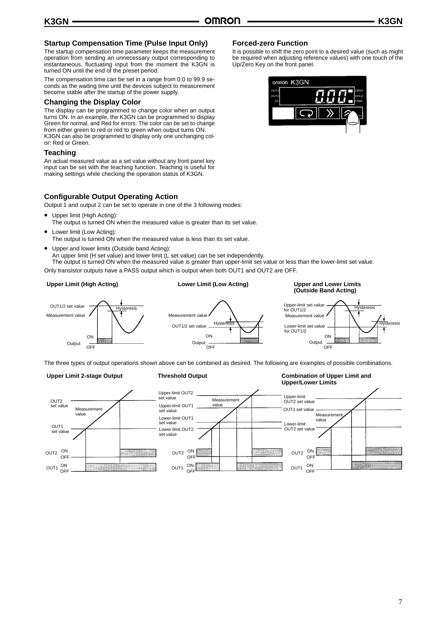**Forced-zero Function**

Up/Zero Key on the front panel.

## **Startup Compensation Time (Pulse Input Only)**

The startup compensation time parameter keeps the measurement operation from sending an unnecessary output corresponding to instantaneous, fluctuating input from the moment the K3GN is turned ON until the end of the preset period.

The compensation time can be set in a range from 0.0 to 99.9 seconds as the waiting time until the devices subject to measurement become stable after the startup of the power supply.

### **Changing the Display Color**

The display can be programmed to change color when an output turns ON. In an example, the K3GN can be programmed to display Green for normal, and Red for errors. The color can be set to change from either green to red or red to green when output turns ON. K3GN can also be programmed to display only one unchanging color: Red or Green.

#### **Teaching**

An actual measured value as a set value without any front panel key input can be set with the teaching function. Teaching is useful for making settings while checking the operation status of K3GN.

## **Configurable Output Operating Action**

Output 1 and output 2 can be set to operate in one of the 3 following modes:

- Upper limit (High Acting): The output is turned ON when the measured value is greater than its set value.
- Lower limit (Low Acting): The output is turned ON when the measured value is less than its set value.
- Upper and lower limits (Outside band Acting):
- An upper limit (H set value) and lower limit (L set value) can be set independently.

The output is turned ON when the measured value is greater than upper-limit set value or less than the lower-limit set value. Only transistor outputs have a PASS output which is output when both OUT1 and OUT2 are OFF.

#### **Upper Limit (High Acting)**

# **Lower Limit (Low Acting)**

#### OUT1/2 set value Measurement value ON Output  $\overline{O}$ Hyster<br>A OUT1/2 set value ON Output —<br>OFF **Hysteresis (Outside Band Acting)** Upper-limit set value for  $OUT1/2$ **Hysteresis** Measurement value **Hysteresis** Lower-limit set value for OUT1/2 ON OFF Output Measurement value

The three types of output operations shown above can be combined as desired. The following are examples of possible combinations.

#### **Upper Limit 2-stage Output**

**Threshold Output**

**Combination of Upper Limit and Upper/Lower Limits**

**Upper and Lower Limits**





It is possible to shift the zero point to a desired value (such as might be required when adjusting reference values) with one touch of the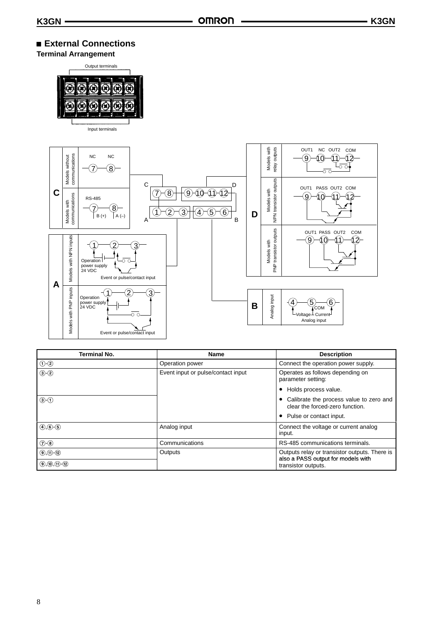# **External Connections**

**Terminal Arrangement**



Input terminals



| <b>Terminal No.</b>     | Name                               | <b>Description</b>                                                                  |
|-------------------------|------------------------------------|-------------------------------------------------------------------------------------|
| $\bigcirc$ - $\bigcirc$ | Operation power                    | Connect the operation power supply.                                                 |
| $(3)$ - $(2)$           | Event input or pulse/contact input | Operates as follows depending on<br>parameter setting:                              |
|                         |                                    | Holds process value.                                                                |
| $\odot$ - $\odot$       |                                    | Calibrate the process value to zero and<br>clear the forced-zero function.          |
|                         |                                    | Pulse or contact input.                                                             |
| $(4)$ , $(6)$ - $(5)$   | Analog input                       | Connect the voltage or current analog<br>input.                                     |
| $(2 - 8)$               | Communications                     | RS-485 communications terminals.                                                    |
| $(9, 11)$ $(12)$        | Outputs                            | Outputs relay or transistor outputs. There is<br>also a PASS output for models with |
| $(9, 0, 0)$ $(0, 0)$    |                                    | transistor outputs.                                                                 |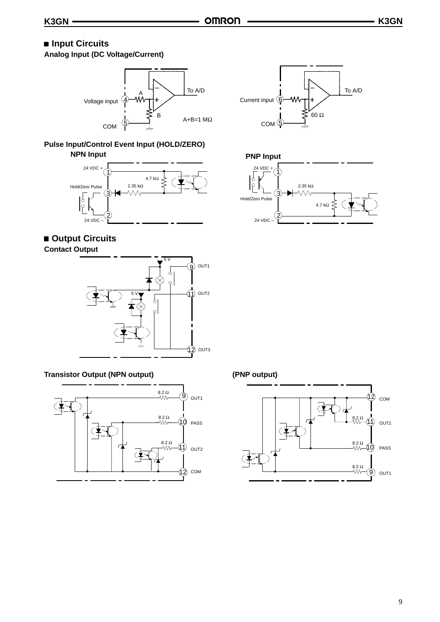# $\blacksquare$  **Input Circuits**

**Analog Input (DC Voltage/Current)**



**Pulse Input/Control Event Input (HOLD/ZERO) NPN Input PNP Input** 





**Contact Output**



# **Transistor Output (NPN output)**







**(PNP output)**

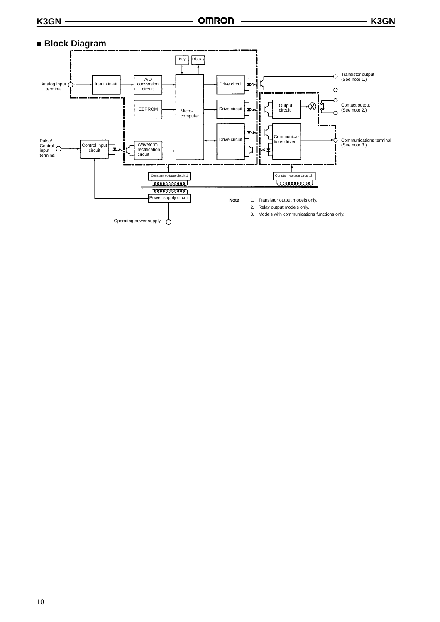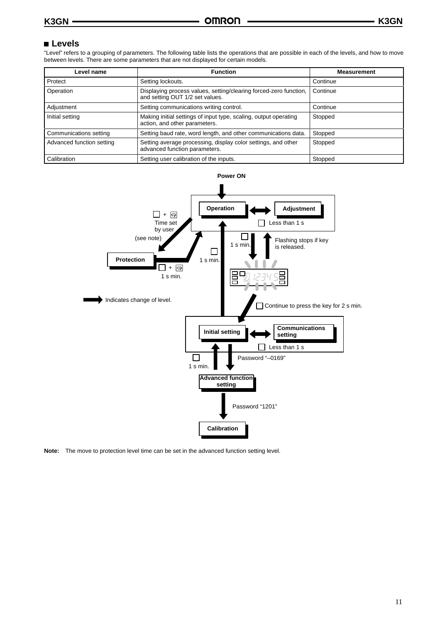# **Levels**

"Level" refers to a grouping of parameters. The following table lists the operations that are possible in each of the levels, and how to move between levels. There are some parameters that are not displayed for certain models.

| Level name                | <b>Function</b>                                                                                      | <b>Measurement</b> |
|---------------------------|------------------------------------------------------------------------------------------------------|--------------------|
| Protect                   | Setting lockouts.                                                                                    | Continue           |
| Operation                 | Displaying process values, setting/clearing forced-zero function,<br>and setting OUT 1/2 set values. | Continue           |
| Adjustment                | Setting communications writing control.                                                              | Continue           |
| Initial setting           | Making initial settings of input type, scaling, output operating<br>action, and other parameters.    | Stopped            |
| Communications setting    | Setting baud rate, word length, and other communications data.                                       | Stopped            |
| Advanced function setting | Setting average processing, display color settings, and other<br>advanced function parameters.       | Stopped            |
| Calibration               | Setting user calibration of the inputs.                                                              | Stopped            |



**Note:** The move to protection level time can be set in the advanced function setting level.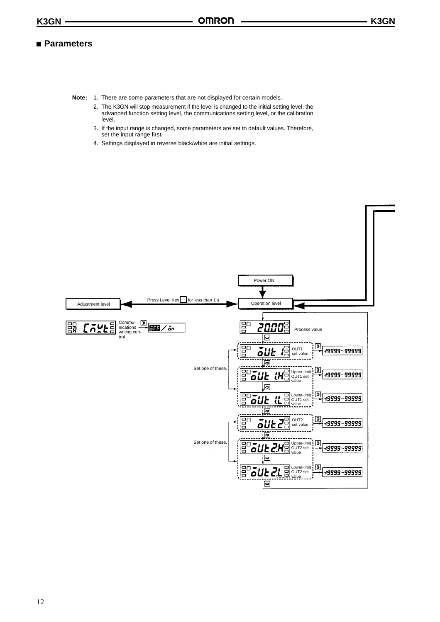# **Parameters**

- **Note:** 1. There are some parameters that are not displayed for certain models.
	- 2. The K3GN will stop measurement if the level is changed to the initial setting level, the advanced function setting level, the communications setting level, or the calibration level.
	- 3. If the input range is changed, some parameters are set to default values. Therefore, set the input range first.
	- 4. Settings displayed in reverse black/white are initial settings.

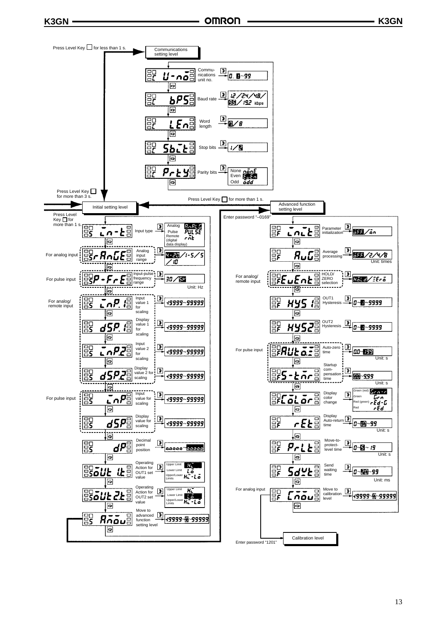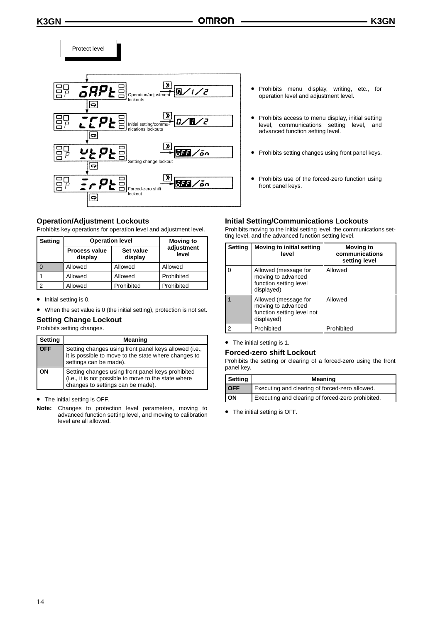



#### **Operation/Adjustment Lockouts**

Prohibits key operations for operation level and adjustment level.

| Setting | <b>Operation level</b>          |                      | <b>Moving to</b>    |
|---------|---------------------------------|----------------------|---------------------|
|         | <b>Process value</b><br>display | Set value<br>display | adjustment<br>level |
|         | Allowed                         | Allowed              | Allowed             |
|         | Allowed                         | Allowed              | Prohibited          |
|         | Allowed                         | Prohibited           | Prohibited          |

• Initial setting is 0.

• When the set value is 0 (the initial setting), protection is not set.

### **Setting Change Lockout**

Prohibits setting changes.

| Setting    | Meaning                                                                                                                                        |
|------------|------------------------------------------------------------------------------------------------------------------------------------------------|
| <b>OFF</b> | Setting changes using front panel keys allowed (i.e.,<br>it is possible to move to the state where changes to<br>settings can be made).        |
| OΝ         | Setting changes using front panel keys prohibited<br>(i.e., it is not possible to move to the state where<br>changes to settings can be made). |

• The initial setting is OFF.

**Note:** Changes to protection level parameters, moving to advanced function setting level, and moving to calibration level are all allowed.

- Prohibits menu display, writing, etc., for operation level and adjustment level.
- Prohibits access to menu display, initial setting level, communications setting level, and advanced function setting level.
- Prohibits setting changes using front panel keys.
- Prohibits use of the forced-zero function using front panel keys.

#### **Initial Setting/Communications Lockouts**

Prohibits moving to the initial setting level, the communications setting level, and the advanced function setting level.

| <b>Setting</b> | Moving to initial setting<br>level                                                     | <b>Moving to</b><br>communications<br>setting level |
|----------------|----------------------------------------------------------------------------------------|-----------------------------------------------------|
|                | Allowed (message for<br>moving to advanced<br>function setting level<br>displayed)     | Allowed                                             |
|                | Allowed (message for<br>moving to advanced<br>function setting level not<br>displayed) | Allowed                                             |
| 2              | Prohibited                                                                             | Prohibited                                          |

• The initial setting is 1.

#### **Forced-zero shift Lockout**

Prohibits the setting or clearing of a forced-zero using the front panel key.

| Setting    | Meaning                                           |  |
|------------|---------------------------------------------------|--|
| <b>OFF</b> | Executing and clearing of forced-zero allowed.    |  |
| ON         | Executing and clearing of forced-zero prohibited. |  |

• The initial setting is OFF.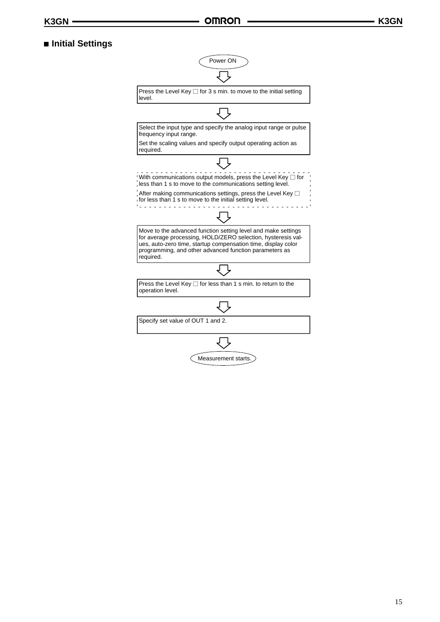# **Initial Settings**

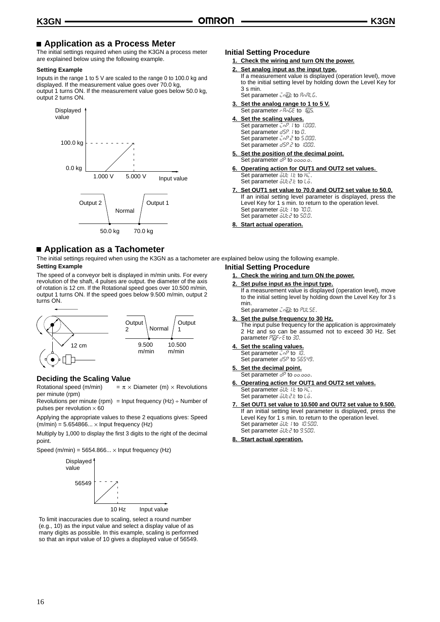# ■ Application as a Process Meter

The initial settings required when using the K3GN a process meter are explained below using the following example.

#### **Setting Example**

Inputs in the range 1 to 5 V are scaled to the range 0 to 100.0 kg and displayed. If the measurement value goes over 70.0 kg, output 1 turns ON. If the measurement value goes below 50.0 kg, output 2 turns ON.



# **Application as a Tachometer**

The initial settings required when using the K3GN as a tachometer are explained below using the following example. **Setting Example Initial Setting Procedure**

The speed of a conveyor belt is displayed in m/min units. For every revolution of the shaft, 4 pulses are output. the diameter of the axis of rotation is 12 cm. If the Rotational speed goes over 10.500 m/min, output 1 turns ON. If the speed goes below 9.500 m/min, output 2 turns ON.



#### **Deciding the Scaling Value**

Rotational speed (m/min) =  $\pi \times$  Diameter (m)  $\times$  Revolutions per minute (rpm)

Revolutions per minute (rpm) = Input frequency (Hz)  $\div$  Number of pulses per revolution  $\times$  60

Applying the appropriate values to these 2 equations gives: Speed  $(m/min) = 5.654866... \times Input frequency (Hz)$ 

Multiply by 1,000 to display the first 3 digits to the right of the decimal point.

Speed (m/min) =  $5654.866... \times$  Input frequency (Hz)



To limit inaccuracies due to scaling, select a round number (e.g., 10) as the input value and select a display value of as many digits as possible. In this example, scaling is performed so that an input value of 10 gives a displayed value of 56549.

#### **Initial Setting Procedure**

**1. Check the wiring and turn ON the power.**

**2. Set analog input as the input type.**

If a measurement value is displayed (operation level), move to the initial setting level by holding down the Level Key for 3 s min.

Set parameter  $Ln\mathbb{Z}$ to *RnRLD*.

**3. Set the analog range to 1 to 5 V.** Set parameter *- RoLE* to 125.

### **4. Set the scaling values.**

Set parameter  $\overline{L}nP$ . I to 1.000. Set parameter  $\frac{dSP}{dr}$  to  $0$ . Set parameter  $\overline{L}$  o  $\overline{L}$  to 5.000. Set parameter  $\frac{d5P}{d5}$  to  $\frac{1000}{d50}$ .

- **5. Set the position of the decimal point.** Set parameter dP to 0000.0.
- **6. Operating action for OUT1 and OUT2 set values.**  Set parameter  $\overline{\omega}$ UE I.E to Hu

Set parameter  $\overline{\omega}$ *u*<sub>E</sub> $2$ **L**<sub>E</sub> to  $L\overline{\omega}$ .

- **7. Set OUT1 set value to 70.0 and OUT2 set value to 50.0.** If an initial setting level parameter is displayed, press the Level Key for 1 s min. to return to the operation level. Set parameter  $\overline{\delta}UE$  / to 70.0. Set parameter  $\overline{\delta}U\overline{\delta}Z$  to 50.0.
- **8. Start actual operation.**
- **1. Check the wiring and turn ON the power.**
- **2. Set pulse input as the input type.**

If a measurement value is displayed (operation level), move to the initial setting level by holding down the Level Key for 3 s min.

Set parameter  $Ln\mathbb{Z}$ to PUL 5E.

**3. Set the pulse frequency to 30 Hz.** The input pulse frequency for the application is approximately 2 Hz and so can be assumed not to exceed 30 Hz. Set parameter PUF-E to 30.

#### **4. Set the scaling values.** Set parameter  $\overline{L} \cap P$  to  $\overline{L}$ .

Set parameter  $d5P$  to 55549.

#### **5. Set the decimal point.** Set parameter dP to 00.000.

- **6. Operating action for OUT1 and OUT2 set values.** Set parameter  $\overline{\delta}UE$  i.e to  $H\overline{L}$ . Set parameter  $\overline{\omega}$ *u*<sub>E</sub> at to  $\overline{\omega}$ .
- **7. Set OUT1 set value to 10.500 and OUT2 set value to 9.500.** If an initial setting level parameter is displayed, press the Level Key for 1 s min. to return to the operation level. Set parameter  $\overline{\omega}$ ult / to .10.500. Set parameter  $\overline{\omega}$ to 9.500.

#### **8. Start actual operation.**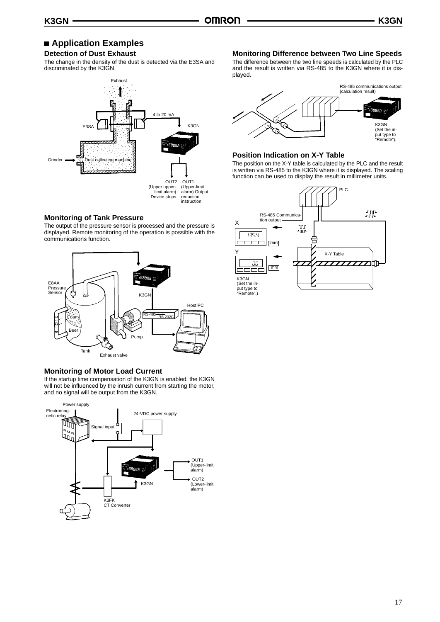# **Application Examples**

# **Detection of Dust Exhaust**

The change in the density of the dust is detected via the E3SA and discriminated by the K3GN.



#### **Monitoring of Tank Pressure**

The output of the pressure sensor is processed and the pressure is displayed. Remote monitoring of the operation is possible with the communications function.



# **Monitoring of Motor Load Current**

If the startup time compensation of the K3GN is enabled, the K3GN will not be influenced by the inrush current from starting the motor, and no signal will be output from the K3GN.



# **Monitoring Difference between Two Line Speeds**

The difference between the two line speeds is calculated by the PLC and the result is written via RS-485 to the K3GN where it is displayed.



# **Position Indication on X-Y Table**

The position on the X-Y table is calculated by the PLC and the result is written via RS-485 to the K3GN where it is displayed. The scaling function can be used to display the result in millimeter units.

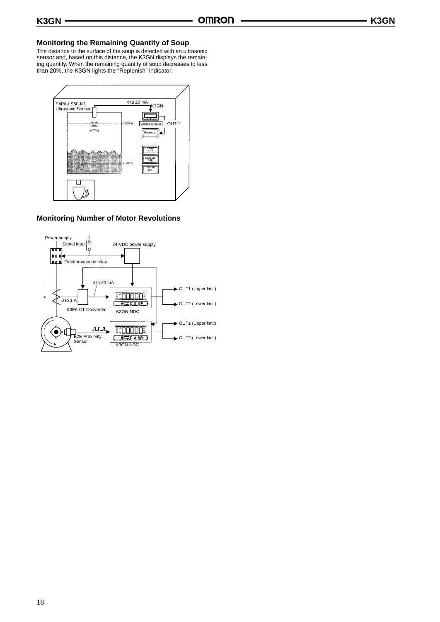### **Monitoring the Remaining Quantity of Soup**

The distance to the surface of the soup is detected with an ultrasonic sensor and, based on this distance, the K3GN displays the remaining quantity. When the remaining quantity of soup decreases to less than 20%, the K3GN lights the "Replenish" indicator.



# **Monitoring Number of Motor Revolutions**

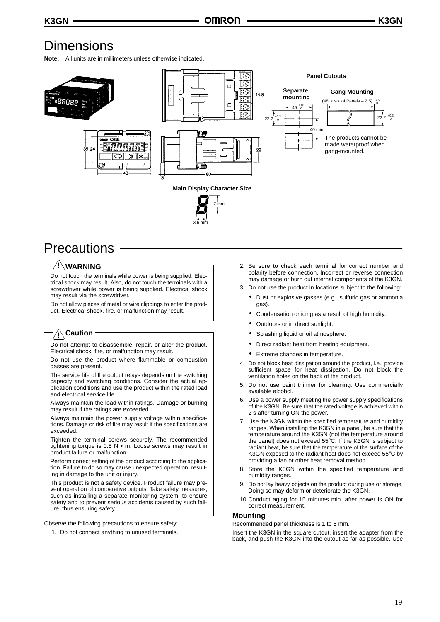# **Dimensions**

**Note:** All units are in millimeters unless otherwise indicated.



3.6 mm



# **WARNING !**

Do not touch the terminals while power is being supplied. Electrical shock may result. Also, do not touch the terminals with a screwdriver while power is being supplied. Electrical shock may result via the screwdriver.

Do not allow pieces of metal or wire clippings to enter the product. Electrical shock, fire, or malfunction may result.

# **Caution !**

Do not attempt to disassemble, repair, or alter the product. Electrical shock, fire, or malfunction may result.

Do not use the product where flammable or combustion gasses are present.

The service life of the output relays depends on the switching capacity and switching conditions. Consider the actual application conditions and use the product within the rated load and electrical service life.

Always maintain the load within ratings. Damage or burning may result if the ratings are exceeded.

Always maintain the power supply voltage within specifications. Damage or risk of fire may result if the specifications are exceeded.

Tighten the terminal screws securely. The recommended tightening torque is  $0.5$  N  $\bullet$  m. Loose screws may result in product failure or malfunction.

Perform correct setting of the product according to the application. Failure to do so may cause unexpected operation, resulting in damage to the unit or injury.

This product is not a safety device. Product failure may prevent operation of comparative outputs. Take safety measures, such as installing a separate monitoring system, to ensure safety and to prevent serious accidents caused by such failure, thus ensuring safety.

Observe the following precautions to ensure safety:

1. Do not connect anything to unused terminals.

- 2. Be sure to check each terminal for correct number and polarity before connection. Incorrect or reverse connection may damage or burn out internal components of the K3GN.
- 3. Do not use the product in locations subject to the following:
	- Dust or explosive gasses (e.g., sulfuric gas or ammonia gas).
	- Condensation or icing as a result of high humidity.
	- Outdoors or in direct sunlight.
	- Splashing liquid or oil atmosphere.
	- Direct radiant heat from heating equipment.
	- Extreme changes in temperature.
- 4. Do not block heat dissipation around the product, i.e., provide sufficient space for heat dissipation. Do not block the ventilation holes on the back of the product.
- 5. Do not use paint thinner for cleaning. Use commercially available alcohol.
- 6. Use a power supply meeting the power supply specifications of the K3GN. Be sure that the rated voltage is achieved within 2 s after turning ON the power.
- 7. Use the K3GN within the specified temperature and humidity ranges. When installing the K3GN in a panel, be sure that the temperature around the K3GN (not the temperature around the panel) does not exceed 55°C. If the K3GN is subject to radiant heat, be sure that the temperature of the surface of the K3GN exposed to the radiant heat does not exceed 55°C by providing a fan or other heat removal method.
- 8. Store the K3GN within the specified temperature and humidity ranges.
- Do not lay heavy objects on the product during use or storage. Doing so may deform or deteriorate the K3GN.
- 10.Conduct aging for 15 minutes min. after power is ON for correct measurement.

#### **Mounting**

Recommended panel thickness is 1 to 5 mm.

Insert the K3GN in the square cutout, insert the adapter from the back, and push the K3GN into the cutout as far as possible. Use